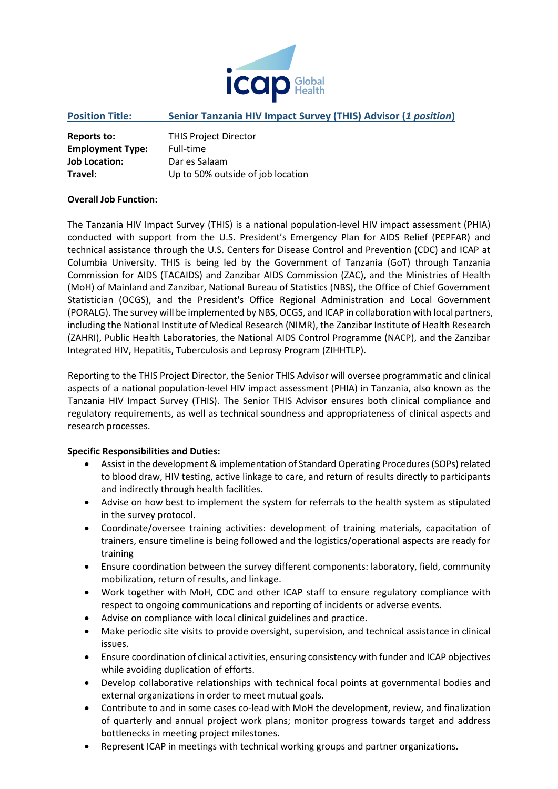

## **Position Title: Senior Tanzania HIV Impact Survey (THIS) Advisor (***1 position***)**

| Reports to:             | <b>THIS Project Director</b>      |
|-------------------------|-----------------------------------|
| <b>Employment Type:</b> | Full-time                         |
| <b>Job Location:</b>    | Dar es Salaam                     |
| Travel:                 | Up to 50% outside of job location |

### **Overall Job Function:**

The Tanzania HIV Impact Survey (THIS) is a national population-level HIV impact assessment (PHIA) conducted with support from the U.S. President's Emergency Plan for AIDS Relief (PEPFAR) and technical assistance through the U.S. Centers for Disease Control and Prevention (CDC) and ICAP at Columbia University. THIS is being led by the Government of Tanzania (GoT) through Tanzania Commission for AIDS (TACAIDS) and Zanzibar AIDS Commission (ZAC), and the Ministries of Health (MoH) of Mainland and Zanzibar, National Bureau of Statistics (NBS), the Office of Chief Government Statistician (OCGS), and the President's Office Regional Administration and Local Government (PORALG). The survey will be implemented by NBS, OCGS, and ICAP in collaboration with local partners, including the National Institute of Medical Research (NIMR), the Zanzibar Institute of Health Research (ZAHRI), Public Health Laboratories, the National AIDS Control Programme (NACP), and the Zanzibar Integrated HIV, Hepatitis, Tuberculosis and Leprosy Program (ZIHHTLP).

Reporting to the THIS Project Director, the Senior THIS Advisor will oversee programmatic and clinical aspects of a national population-level HIV impact assessment (PHIA) in Tanzania, also known as the Tanzania HIV Impact Survey (THIS). The Senior THIS Advisor ensures both clinical compliance and regulatory requirements, as well as technical soundness and appropriateness of clinical aspects and research processes.

### **Specific Responsibilities and Duties:**

- Assist in the development & implementation of Standard Operating Procedures (SOPs) related to blood draw, HIV testing, active linkage to care, and return of results directly to participants and indirectly through health facilities.
- Advise on how best to implement the system for referrals to the health system as stipulated in the survey protocol.
- Coordinate/oversee training activities: development of training materials, capacitation of trainers, ensure timeline is being followed and the logistics/operational aspects are ready for training
- Ensure coordination between the survey different components: laboratory, field, community mobilization, return of results, and linkage.
- Work together with MoH, CDC and other ICAP staff to ensure regulatory compliance with respect to ongoing communications and reporting of incidents or adverse events.
- Advise on compliance with local clinical guidelines and practice.
- Make periodic site visits to provide oversight, supervision, and technical assistance in clinical issues.
- Ensure coordination of clinical activities, ensuring consistency with funder and ICAP objectives while avoiding duplication of efforts.
- Develop collaborative relationships with technical focal points at governmental bodies and external organizations in order to meet mutual goals.
- Contribute to and in some cases co-lead with MoH the development, review, and finalization of quarterly and annual project work plans; monitor progress towards target and address bottlenecks in meeting project milestones.
- Represent ICAP in meetings with technical working groups and partner organizations.